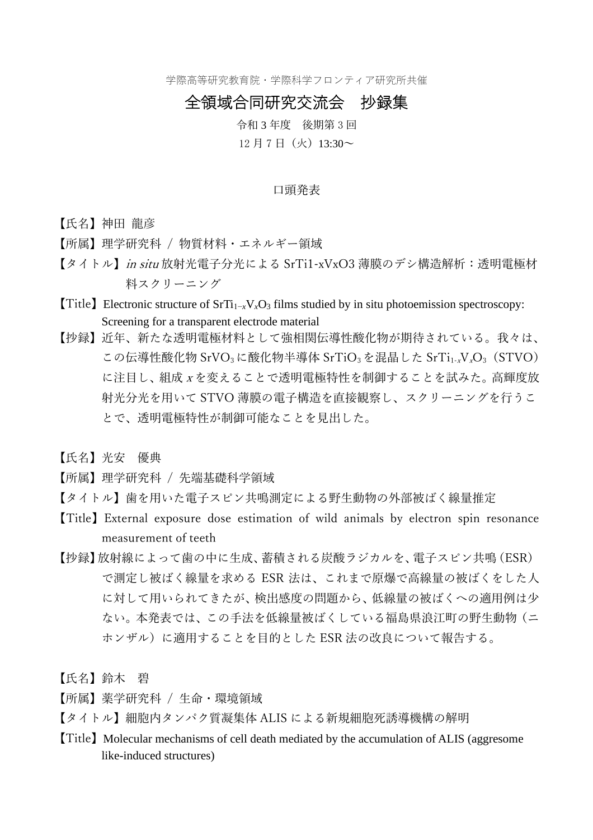学際高等研究教育院・学際科学フロンティア研究所共催

## 全領域合同研究交流会 抄録集

令和 3 年度 後期第 3 回 12 月 7 日(火) 13:30~

## 口頭発表

【氏名】神田 龍彦

- 【所属】理学研究科 / 物質材料・エネルギー領域
- 【タイトル】in situ 放射光電子分光による SrTi1-xVxO3 薄膜のデシ構造解析:透明電極材 料スクリーニング
- **[Title] Electronic structure of SrTi<sub>1−***x***V<sub>***x***</sub>O<sub>3</sub> films studied by in situ photoemission spectroscopy:**</sub> Screening for a transparent electrode material
- 【抄録】近年、新たな透明電極材料として強相関伝導性酸化物が期待されている。我々は、 この伝導性酸化物 SrVO<sub>3</sub>に酸化物半導体 SrTiO<sub>3</sub>を混晶した SrTi<sub>1-x</sub>V<sub>x</sub>O<sub>3</sub> (STVO) に注目し、組成 <sup>x</sup> を変えることで透明電極特性を制御することを試みた。高輝度放 射光分光を用いて STVO 薄膜の電子構造を直接観察し、スクリーニングを行うこ とで、透明電極特性が制御可能なことを見出した。
- 【氏名】光安 優典

【所属】理学研究科 / 先端基礎科学領域

- 【タイトル】歯を用いた電子スピン共鳴測定による野生動物の外部被ばく線量推定
- 【Title】External exposure dose estimation of wild animals by electron spin resonance measurement of teeth
- 【抄録】放射線によって歯の中に生成、蓄積される炭酸ラジカルを、電子スピン共鳴(ESR) で測定し被ばく線量を求める ESR 法は、これまで原爆で高線量の被ばくをした人 に対して用いられてきたが、検出感度の問題から、低線量の被ばくへの適用例は少 ない。本発表では、この手法を低線量被ばくしている福島県浪江町の野生動物(ニ ホンザル)に適用することを目的とした ESR 法の改良について報告する。

【氏名】鈴木 碧

- 【所属】薬学研究科 / 生命・環境領域
- 【タイトル】細胞内タンパク質凝集体 ALIS による新規細胞死誘導機構の解明
- 【Title】Molecular mechanisms of cell death mediated by the accumulation of ALIS (aggresome like-induced structures)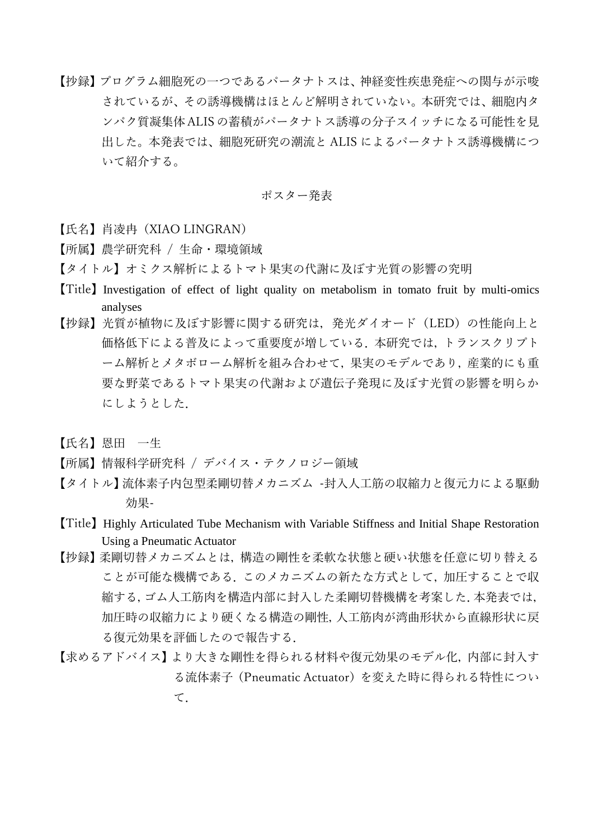【抄録】プログラム細胞死の一つであるパータナトスは、神経変性疾患発症への関与が示唆 されているが、その誘導機構はほとんど解明されていない。本研究では、細胞内タ ンパク質凝集体 ALIS の蓄積がパータナトス誘導の分子スイッチになる可能性を見 出した。本発表では、細胞死研究の潮流と ALIS によるパータナトス誘導機構につ いて紹介する。

## ポスター発表

- 【氏名】肖凌冉(XIAO LINGRAN)
- 【所属】農学研究科 / 生命・環境領域
- 【タイトル】オミクス解析によるトマト果実の代謝に及ぼす光質の影響の究明
- 【Title】Investigation of effect of light quality on metabolism in tomato fruit by multi-omics analyses
- 【抄録】光質が植物に及ぼす影響に関する研究は,発光ダイオード(LED)の性能向上と 価格低下による普及によって重要度が増している.本研究では,トランスクリプト ーム解析とメタボローム解析を組み合わせて,果実のモデルであり,産業的にも重 要な野菜であるトマト果実の代謝および遺伝子発現に及ぼす光質の影響を明らか にしようとした.
- 【氏名】恩田 一生
- 【所属】情報科学研究科 / デバイス・テクノロジー領域
- 【タイトル】流体素子内包型柔剛切替メカニズム -封入人工筋の収縮力と復元力による駆動 効果-
- 【Title】Highly Articulated Tube Mechanism with Variable Stiffness and Initial Shape Restoration Using a Pneumatic Actuator
- 【抄録】柔剛切替メカニズムとは,構造の剛性を柔軟な状態と硬い状態を任意に切り替える ことが可能な機構である. このメカニズムの新たな方式として, 加圧することで収 縮する,ゴム人工筋肉を構造内部に封入した柔剛切替機構を考案した.本発表では, 加圧時の収縮力により硬くなる構造の剛性,人工筋肉が湾曲形状から直線形状に戻 る復元効果を評価したので報告する.
- 【求めるアドバイス】より大きな剛性を得られる材料や復元効果のモデル化,内部に封入す る流体素子(Pneumatic Actuator)を変えた時に得られる特性につい て.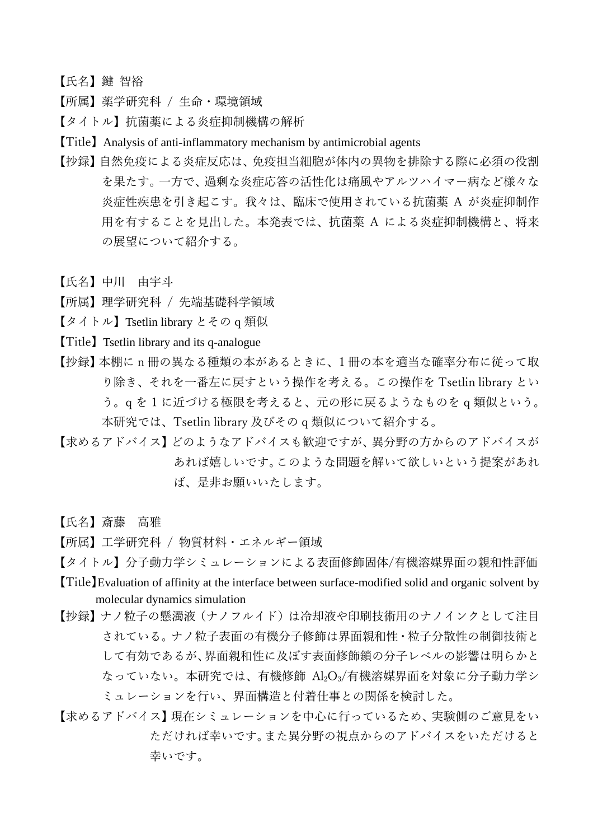【氏名】鍵 智裕

- 【所属】薬学研究科 / 生命・環境領域
- 【タイトル】抗菌薬による炎症抑制機構の解析
- 【Title】Analysis of anti-inflammatory mechanism by antimicrobial agents
- 【抄録】自然免疫による炎症反応は、免疫担当細胞が体内の異物を排除する際に必須の役割 を果たす。一方で、過剰な炎症応答の活性化は痛風やアルツハイマー病など様々な 炎症性疾患を引き起こす。我々は、臨床で使用されている抗菌薬 A が炎症抑制作 用を有することを見出した。本発表では、抗菌薬 A による炎症抑制機構と、将来 の展望について紹介する。
- 【氏名】中川 由宇斗
- 【所属】理学研究科 / 先端基礎科学領域
- 【タイトル】Tsetlin library とその q 類似
- 【Title】Tsetlin library and its q-analogue
- 【抄録】本棚に n 冊の異なる種類の本があるときに、1冊の本を適当な確率分布に従って取 り除き、それを一番左に戻すという操作を考える。この操作を Tsetlin library とい う。q を 1 に近づける極限を考えると、元の形に戻るようなものを q 類似という。 本研究では、Tsetlin library 及びその q 類似について紹介する。
- 【求めるアドバイス】どのようなアドバイスも歓迎ですが、異分野の方からのアドバイスが あれば嬉しいです。このような問題を解いて欲しいという提案があれ ば、是非お願いいたします。
- 【氏名】斎藤 高雅
- 【所属】工学研究科 / 物質材料・エネルギー領域
- 【タイトル】分子動力学シミュレーションによる表面修飾固体/有機溶媒界面の親和性評価
- 【Title】Evaluation of affinity at the interface between surface-modified solid and organic solvent by molecular dynamics simulation
- 【抄録】ナノ粒子の懸濁液(ナノフルイド)は冷却液や印刷技術用のナノインクとして注目 されている。ナノ粒子表面の有機分子修飾は界面親和性・粒子分散性の制御技術と して有効であるが、界面親和性に及ぼす表面修飾鎖の分子レベルの影響は明らかと なっていない。本研究では、有機修飾 Al2O3/有機溶媒界面を対象に分子動力学シ ミュレーションを行い、界面構造と付着仕事との関係を検討した。
- 【求めるアドバイス】現在シミュレーションを中心に行っているため、実験側のご意見をい ただければ幸いです。また異分野の視点からのアドバイスをいただけると 幸いです。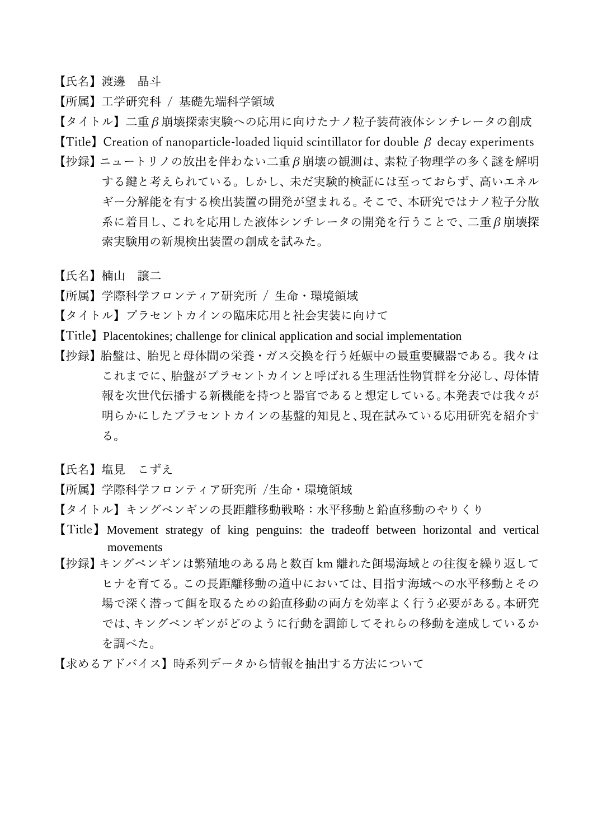【氏名】渡邊 晶斗

【所属】工学研究科 / 基礎先端科学領域

【タイトル】二重β崩壊探索実験への応用に向けたナノ粒子装荷液体シンチレータの創成

**[Title]** Creation of nanoparticle-loaded liquid scintillator for double  $\beta$  decay experiments

- 【抄録】ニュートリノの放出を伴わない二重β崩壊の観測は、素粒子物理学の多く謎を解明 する鍵と考えられている。しかし、未だ実験的検証には至っておらず、高いエネル ギー分解能を有する検出装置の開発が望まれる。そこで、本研究ではナノ粒子分散 系に着目し、これを応用した液体シンチレータの開発を行うことで、二重β崩壊探 索実験用の新規検出装置の創成を試みた。
- 【氏名】楠山 譲二
- 【所属】学際科学フロンティア研究所 / 生命・環境領域
- 【タイトル】プラセントカインの臨床応用と社会実装に向けて
- 【Title】Placentokines; challenge for clinical application and social implementation
- 【抄録】胎盤は、胎児と母体間の栄養・ガス交換を行う妊娠中の最重要臓器である。我々は これまでに、胎盤がプラセントカインと呼ばれる生理活性物質群を分泌し、母体情 報を次世代伝播する新機能を持つと器官であると想定している。本発表では我々が 明らかにしたプラセントカインの基盤的知見と、現在試みている応用研究を紹介す る。
- 【氏名】塩見 こずえ
- 【所属】学際科学フロンティア研究所 /生命・環境領域
- 【タイトル】キングペンギンの長距離移動戦略:水平移動と鉛直移動のやりくり
- 【Title】Movement strategy of king penguins: the tradeoff between horizontal and vertical movements
- 【抄録】キングペンギンは繁殖地のある島と数百 km 離れた餌場海域との往復を繰り返して ヒナを育てる。この長距離移動の道中においては、目指す海域への水平移動とその 場で深く潜って餌を取るための鉛直移動の両方を効率よく行う必要がある。本研究 では、キングペンギンがどのように行動を調節してそれらの移動を達成しているか を調べた。
- 【求めるアドバイス】時系列データから情報を抽出する方法について